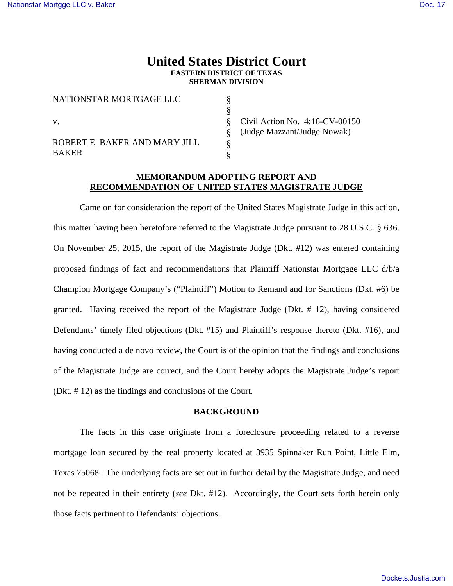# **United States District Court EASTERN DISTRICT OF TEXAS SHERMAN DIVISION**

§ § § § § §

| NATIONSTAR MORTGAGE LLC                       |
|-----------------------------------------------|
| V.                                            |
| ROBERT E. BAKER AND MARY JILL<br><b>BAKER</b> |

Civil Action No. 4:16-CV-00150 (Judge Mazzant/Judge Nowak)

## **MEMORANDUM ADOPTING REPORT AND RECOMMENDATION OF UNITED STATES MAGISTRATE JUDGE**

 Came on for consideration the report of the United States Magistrate Judge in this action, this matter having been heretofore referred to the Magistrate Judge pursuant to 28 U.S.C. § 636. On November 25, 2015, the report of the Magistrate Judge (Dkt. #12) was entered containing proposed findings of fact and recommendations that Plaintiff Nationstar Mortgage LLC d/b/a Champion Mortgage Company's ("Plaintiff") Motion to Remand and for Sanctions (Dkt. #6) be granted. Having received the report of the Magistrate Judge (Dkt. # 12), having considered Defendants' timely filed objections (Dkt. #15) and Plaintiff's response thereto (Dkt. #16), and having conducted a de novo review, the Court is of the opinion that the findings and conclusions of the Magistrate Judge are correct, and the Court hereby adopts the Magistrate Judge's report (Dkt. # 12) as the findings and conclusions of the Court.

## **BACKGROUND**

 The facts in this case originate from a foreclosure proceeding related to a reverse mortgage loan secured by the real property located at 3935 Spinnaker Run Point, Little Elm, Texas 75068. The underlying facts are set out in further detail by the Magistrate Judge, and need not be repeated in their entirety (*see* Dkt. #12). Accordingly, the Court sets forth herein only those facts pertinent to Defendants' objections.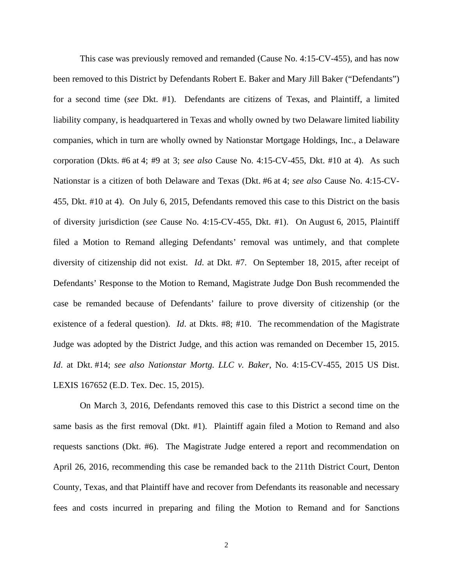This case was previously removed and remanded (Cause No. 4:15-CV-455), and has now been removed to this District by Defendants Robert E. Baker and Mary Jill Baker ("Defendants") for a second time (*see* Dkt. #1). Defendants are citizens of Texas, and Plaintiff, a limited liability company, is headquartered in Texas and wholly owned by two Delaware limited liability companies, which in turn are wholly owned by Nationstar Mortgage Holdings, Inc., a Delaware corporation (Dkts. #6 at 4; #9 at 3; *see also* Cause No. 4:15-CV-455, Dkt. #10 at 4). As such Nationstar is a citizen of both Delaware and Texas (Dkt. #6 at 4; *see also* Cause No. 4:15-CV-455, Dkt. #10 at 4). On July 6, 2015, Defendants removed this case to this District on the basis of diversity jurisdiction (*see* Cause No. 4:15-CV-455, Dkt. #1). On August 6, 2015, Plaintiff filed a Motion to Remand alleging Defendants' removal was untimely, and that complete diversity of citizenship did not exist. *Id*. at Dkt. #7. On September 18, 2015, after receipt of Defendants' Response to the Motion to Remand, Magistrate Judge Don Bush recommended the case be remanded because of Defendants' failure to prove diversity of citizenship (or the existence of a federal question). *Id*. at Dkts. #8; #10. The recommendation of the Magistrate Judge was adopted by the District Judge, and this action was remanded on December 15, 2015. *Id*. at Dkt. #14; *see also Nationstar Mortg. LLC v. Baker*, No. 4:15-CV-455, 2015 US Dist. LEXIS 167652 (E.D. Tex. Dec. 15, 2015).

 On March 3, 2016, Defendants removed this case to this District a second time on the same basis as the first removal (Dkt. #1). Plaintiff again filed a Motion to Remand and also requests sanctions (Dkt. #6). The Magistrate Judge entered a report and recommendation on April 26, 2016, recommending this case be remanded back to the 211th District Court, Denton County, Texas, and that Plaintiff have and recover from Defendants its reasonable and necessary fees and costs incurred in preparing and filing the Motion to Remand and for Sanctions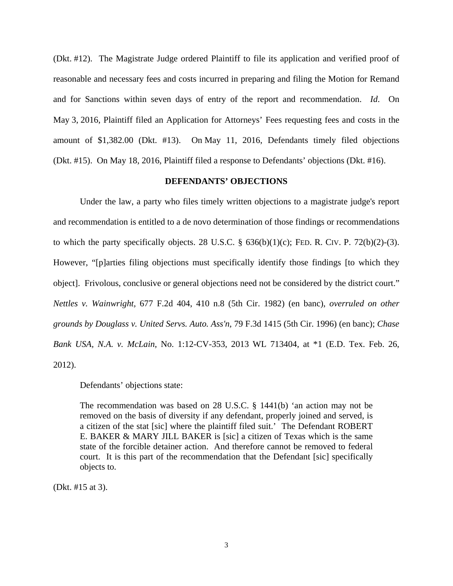(Dkt. #12). The Magistrate Judge ordered Plaintiff to file its application and verified proof of reasonable and necessary fees and costs incurred in preparing and filing the Motion for Remand and for Sanctions within seven days of entry of the report and recommendation. *Id*. On May 3, 2016, Plaintiff filed an Application for Attorneys' Fees requesting fees and costs in the amount of \$1,382.00 (Dkt. #13). On May 11, 2016, Defendants timely filed objections (Dkt. #15). On May 18, 2016, Plaintiff filed a response to Defendants' objections (Dkt. #16).

### **DEFENDANTS' OBJECTIONS**

 Under the law, a party who files timely written objections to a magistrate judge's report and recommendation is entitled to a de novo determination of those findings or recommendations to which the party specifically objects. 28 U.S.C.  $\S$  636(b)(1)(c); FED. R. CIV. P. 72(b)(2)-(3). However, "[p]arties filing objections must specifically identify those findings [to which they object]. Frivolous, conclusive or general objections need not be considered by the district court." *Nettles v. Wainwright,* 677 F.2d 404, 410 n.8 (5th Cir. 1982) (en banc), *overruled on other grounds by Douglass v. United Servs. Auto. Ass'n,* 79 F.3d 1415 (5th Cir. 1996) (en banc); *Chase Bank USA, N.A. v. McLain*, No. 1:12-CV-353, 2013 WL 713404, at \*1 (E.D. Tex. Feb. 26, 2012).

Defendants' objections state:

The recommendation was based on 28 U.S.C. § 1441(b) 'an action may not be removed on the basis of diversity if any defendant, properly joined and served, is a citizen of the stat [sic] where the plaintiff filed suit.' The Defendant ROBERT E. BAKER & MARY JILL BAKER is [sic] a citizen of Texas which is the same state of the forcible detainer action. And therefore cannot be removed to federal court. It is this part of the recommendation that the Defendant [sic] specifically objects to.

(Dkt. #15 at 3).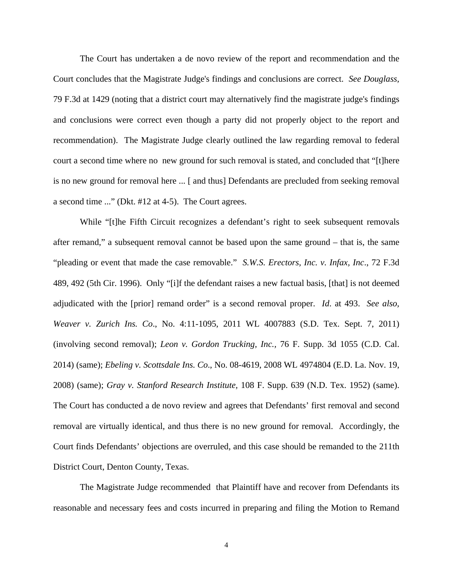The Court has undertaken a de novo review of the report and recommendation and the Court concludes that the Magistrate Judge's findings and conclusions are correct. *See Douglass,* 79 F.3d at 1429 (noting that a district court may alternatively find the magistrate judge's findings and conclusions were correct even though a party did not properly object to the report and recommendation). The Magistrate Judge clearly outlined the law regarding removal to federal court a second time where no new ground for such removal is stated, and concluded that "[t]here is no new ground for removal here ... [ and thus] Defendants are precluded from seeking removal a second time ..." (Dkt. #12 at 4-5). The Court agrees.

While "[t]he Fifth Circuit recognizes a defendant's right to seek subsequent removals after remand," a subsequent removal cannot be based upon the same ground – that is, the same "pleading or event that made the case removable." *S.W.S. Erectors, Inc. v. Infax, Inc*., 72 F.3d 489, 492 (5th Cir. 1996). Only "[i]f the defendant raises a new factual basis, [that] is not deemed adjudicated with the [prior] remand order" is a second removal proper. *Id*. at 493. *See also, Weaver v. Zurich Ins. Co*., No. 4:11-1095, 2011 WL 4007883 (S.D. Tex. Sept. 7, 2011) (involving second removal); *Leon v. Gordon Trucking, Inc.,* 76 F. Supp. 3d 1055 (C.D. Cal. 2014) (same); *Ebeling v. Scottsdale Ins. Co*., No. 08-4619, 2008 WL 4974804 (E.D. La. Nov. 19, 2008) (same); *Gray v. Stanford Research Institute,* 108 F. Supp. 639 (N.D. Tex. 1952) (same). The Court has conducted a de novo review and agrees that Defendants' first removal and second removal are virtually identical, and thus there is no new ground for removal. Accordingly, the Court finds Defendants' objections are overruled, and this case should be remanded to the 211th District Court, Denton County, Texas.

The Magistrate Judge recommended that Plaintiff have and recover from Defendants its reasonable and necessary fees and costs incurred in preparing and filing the Motion to Remand